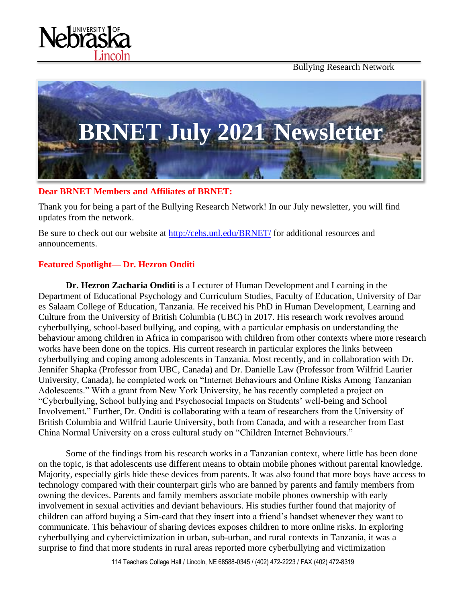Bullying Research Network





#### **Dear BRNET Members and Affiliates of BRNET:**

Thank you for being a part of the Bullying Research Network! In our July newsletter, you will find updates from the network.

Be sure to check out our website at<http://cehs.unl.edu/BRNET/> for additional resources and announcements.

## **Featured Spotlight— Dr. Hezron Onditi**

**Dr. Hezron Zacharia Onditi** is a Lecturer of Human Development and Learning in the Department of Educational Psychology and Curriculum Studies, Faculty of Education, University of Dar es Salaam College of Education, Tanzania. He received his PhD in Human Development, Learning and Culture from the University of British Columbia (UBC) in 2017. His research work revolves around cyberbullying, school-based bullying, and coping, with a particular emphasis on understanding the behaviour among children in Africa in comparison with children from other contexts where more research works have been done on the topics. His current research in particular explores the links between cyberbullying and coping among adolescents in Tanzania. Most recently, and in collaboration with Dr. Jennifer Shapka (Professor from UBC, Canada) and Dr. Danielle Law (Professor from Wilfrid Laurier University, Canada), he completed work on "Internet Behaviours and Online Risks Among Tanzanian Adolescents." With a grant from New York University, he has recently completed a project on "Cyberbullying, School bullying and Psychosocial Impacts on Students' well-being and School Involvement." Further, Dr. Onditi is collaborating with a team of researchers from the University of British Columbia and Wilfrid Laurie University, both from Canada, and with a researcher from East China Normal University on a cross cultural study on "Children Internet Behaviours."

Some of the findings from his research works in a Tanzanian context, where little has been done on the topic, is that adolescents use different means to obtain mobile phones without parental knowledge. Majority, especially girls hide these devices from parents. It was also found that more boys have access to technology compared with their counterpart girls who are banned by parents and family members from owning the devices. Parents and family members associate mobile phones ownership with early involvement in sexual activities and deviant behaviours. His studies further found that majority of children can afford buying a Sim-card that they insert into a friend's handset whenever they want to communicate. This behaviour of sharing devices exposes children to more online risks. In exploring cyberbullying and cybervictimization in urban, sub-urban, and rural contexts in Tanzania, it was a surprise to find that more students in rural areas reported more cyberbullying and victimization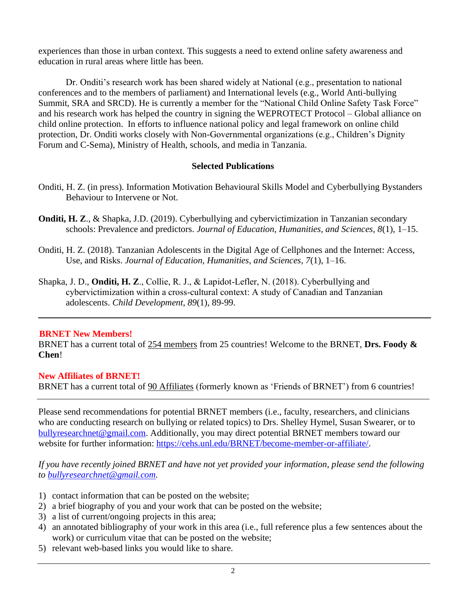experiences than those in urban context. This suggests a need to extend online safety awareness and education in rural areas where little has been.

Dr. Onditi's research work has been shared widely at National (e.g., presentation to national conferences and to the members of parliament) and International levels (e.g., World Anti-bullying Summit, SRA and SRCD). He is currently a member for the "National Child Online Safety Task Force" and his research work has helped the country in signing the WEPROTECT Protocol – Global alliance on child online protection. In efforts to influence national policy and legal framework on online child protection, Dr. Onditi works closely with Non-Governmental organizations (e.g., Children's Dignity Forum and C-Sema), Ministry of Health, schools, and media in Tanzania.

## **Selected Publications**

- Onditi, H. Z. (in press). Information Motivation Behavioural Skills Model and Cyberbullying Bystanders Behaviour to Intervene or Not.
- **Onditi, H. Z**., & Shapka, J.D. (2019). Cyberbullying and cybervictimization in Tanzanian secondary schools: Prevalence and predictors. *Journal of Education, Humanities, and Sciences, 8*(1), 1–15.
- Onditi, H. Z. (2018). Tanzanian Adolescents in the Digital Age of Cellphones and the Internet: Access, Use, and Risks. *Journal of Education, Humanities, and Sciences, 7*(1), 1–16.
- Shapka, J. D., **Onditi, H. Z**., Collie, R. J., & Lapidot‐Lefler, N. (2018). Cyberbullying and cybervictimization within a cross‐cultural context: A study of Canadian and Tanzanian adolescents. *Child Development*, *89*(1), 89-99.

## **BRNET New Members!**

BRNET has a current total of 254 members from 25 countries! Welcome to the BRNET, **Drs. Foody & Chen**!

### **New Affiliates of BRNET!**

BRNET has a current total of 90 Affiliates (formerly known as 'Friends of BRNET') from 6 countries!

Please send recommendations for potential BRNET members (i.e., faculty, researchers, and clinicians who are conducting research on bullying or related topics) to Drs. Shelley Hymel, Susan Swearer, or to [bullyresearchnet@gmail.com.](mailto:bullyresearchnet@gmail.com) Additionally, you may direct potential BRNET members toward our website for further information: [https://cehs.unl.edu/BRNET/become-member-or-affiliate/.](https://cehs.unl.edu/BRNET/become-member-or-affiliate/)

*If you have recently joined BRNET and have not yet provided your information, please send the following to [bullyresearchnet@gmail.com.](mailto:bullyresearchnet@gmail.com)*

- 1) contact information that can be posted on the website;
- 2) a brief biography of you and your work that can be posted on the website;
- 3) a list of current/ongoing projects in this area;
- 4) an annotated bibliography of your work in this area (i.e., full reference plus a few sentences about the work) or curriculum vitae that can be posted on the website;
- 5) relevant web-based links you would like to share.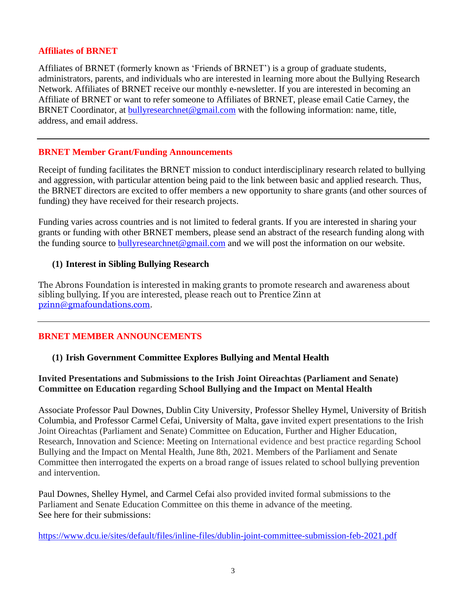#### **Affiliates of BRNET**

Affiliates of BRNET (formerly known as 'Friends of BRNET') is a group of graduate students, administrators, parents, and individuals who are interested in learning more about the Bullying Research Network. Affiliates of BRNET receive our monthly e-newsletter. If you are interested in becoming an Affiliate of BRNET or want to refer someone to Affiliates of BRNET, please email Catie Carney, the BRNET Coordinator, at [bullyresearchnet@gmail.com](mailto:bullyresearchnet@gmail.com) with the following information: name, title, address, and email address.

#### **BRNET Member Grant/Funding Announcements**

Receipt of funding facilitates the BRNET mission to conduct interdisciplinary research related to bullying and aggression, with particular attention being paid to the link between basic and applied research. Thus, the BRNET directors are excited to offer members a new opportunity to share grants (and other sources of funding) they have received for their research projects.

Funding varies across countries and is not limited to federal grants. If you are interested in sharing your grants or funding with other BRNET members, please send an abstract of the research funding along with the funding source to [bullyresearchnet@gmail.com](mailto:bullyresearchnet@gmail.com) and we will post the information on our website.

#### **(1) Interest in Sibling Bullying Research**

The Abrons Foundation is interested in making grants to promote research and awareness about sibling bullying. If you are interested, please reach out to Prentice Zinn at [pzinn@gmafoundations.com.](mailto:pzinn@gmafoundations.com)

### **BRNET MEMBER ANNOUNCEMENTS**

### **(1) Irish Government Committee Explores Bullying and Mental Health**

### **Invited Presentations and Submissions to the Irish Joint Oireachtas (Parliament and Senate) Committee on Education regarding School Bullying and the Impact on Mental Health**

Associate Professor Paul Downes, Dublin City University, Professor Shelley Hymel, University of British Columbia, and Professor Carmel Cefai, University of Malta, gave invited expert presentations to the Irish Joint Oireachtas (Parliament and Senate) Committee on Education, Further and Higher Education, Research, Innovation and Science: Meeting on International evidence and best practice regarding School Bullying and the Impact on Mental Health, June 8th, 2021. Members of the Parliament and Senate Committee then interrogated the experts on a broad range of issues related to school bullying prevention and intervention.

Paul Downes, Shelley Hymel, and Carmel Cefai also provided invited formal submissions to the Parliament and Senate Education Committee on this theme in advance of the meeting. See here for their submissions:

<https://www.dcu.ie/sites/default/files/inline-files/dublin-joint-committee-submission-feb-2021.pdf>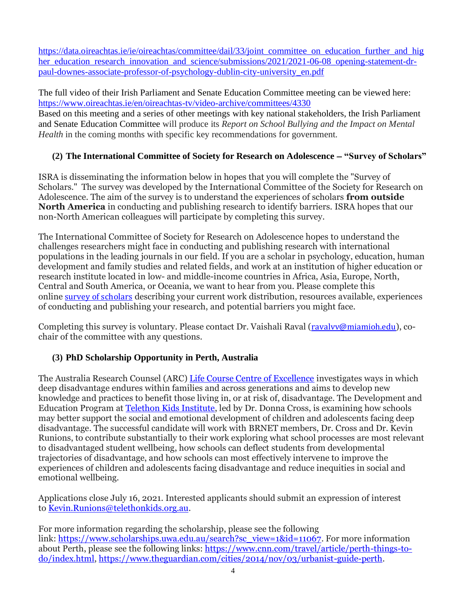[https://data.oireachtas.ie/ie/oireachtas/committee/dail/33/joint\\_committee\\_on\\_education\\_further\\_and\\_hig](https://data.oireachtas.ie/ie/oireachtas/committee/dail/33/joint_committee_on_education_further_and_higher_education_research_innovation_and_science/submissions/2021/2021-06-08_opening-statement-dr-paul-downes-associate-professor-of-psychology-dublin-city-university_en.pdf)\_ [her\\_education\\_research\\_innovation\\_and\\_science/submissions/2021/2021-06-08\\_opening-statement-dr](https://data.oireachtas.ie/ie/oireachtas/committee/dail/33/joint_committee_on_education_further_and_higher_education_research_innovation_and_science/submissions/2021/2021-06-08_opening-statement-dr-paul-downes-associate-professor-of-psychology-dublin-city-university_en.pdf)[paul-downes-associate-professor-of-psychology-dublin-city-university\\_en.pdf](https://data.oireachtas.ie/ie/oireachtas/committee/dail/33/joint_committee_on_education_further_and_higher_education_research_innovation_and_science/submissions/2021/2021-06-08_opening-statement-dr-paul-downes-associate-professor-of-psychology-dublin-city-university_en.pdf)

The full video of their Irish Parliament and Senate Education Committee meeting can be viewed here: <https://www.oireachtas.ie/en/oireachtas-tv/video-archive/committees/4330>

Based on this meeting and a series of other meetings with key national stakeholders, the Irish Parliament and Senate Education Committee will produce its *Report on School Bullying and the Impact on Mental Health* in the coming months with specific key recommendations for government.

## **(2) The International Committee of Society for Research on Adolescence** − **"Survey of Scholars"**

ISRA is disseminating the information below in hopes that you will complete the "Survey of Scholars." The survey was developed by the International Committee of the Society for Research on Adolescence. The aim of the survey is to understand the experiences of scholars **from outside North America** in conducting and publishing research to identify barriers. ISRA hopes that our non-North American colleagues will participate by completing this survey.

The International Committee of Society for Research on Adolescence hopes to understand the challenges researchers might face in conducting and publishing research with international populations in the leading journals in our field. If you are a scholar in psychology, education, human development and family studies and related fields, and work at an institution of higher education or research institute located in low- and middle-income countries in Africa, Asia, Europe, North, Central and South America, or Oceania, we want to hear from you. Please complete this online survey of [scholars](https://miamioh.qualtrics.com/jfe/form/SV_248dbUp3LUSbLcq) describing your current work distribution, resources available, experiences of conducting and publishing your research, and potential barriers you might face.

Completing this survey is voluntary. Please contact Dr. Vaishali Raval (ravalyv@miamioh.edu), cochair of the committee with any questions.

# **(3) PhD Scholarship Opportunity in Perth, Australia**

The Australia Research Counsel (ARC) [Life Course Centre of Excellence](https://www.lifecoursecentre.org.au/) investigates ways in which deep disadvantage endures within families and across generations and aims to develop new knowledge and practices to benefit those living in, or at risk of, disadvantage. The Development and Education Program at [Telethon Kids Institute,](https://www.telethonkids.org.au/our-research/brain-and-behaviour/development-and-education/health-promotion-and-education/) led by Dr. Donna Cross, is examining how schools may better support the social and emotional development of children and adolescents facing deep disadvantage. The successful candidate will work with BRNET members, Dr. Cross and Dr. Kevin Runions, to contribute substantially to their work exploring what school processes are most relevant to disadvantaged student wellbeing, how schools can deflect students from developmental trajectories of disadvantage, and how schools can most effectively intervene to improve the experiences of children and adolescents facing disadvantage and reduce inequities in social and emotional wellbeing.

Applications close July 16, 2021. Interested applicants should submit an expression of interest to [Kevin.Runions@telethonkids.org.au.](mailto:Kevin.Runions@telethonkids.org.au)

For more information regarding the scholarship, please see the following link: [https://www.scholarships.uwa.edu.au/search?sc\\_view=1&id=11067.](https://urldefense.proofpoint.com/v2/url?u=https-3A__www.scholarships.uwa.edu.au_search-3Fsc-5Fview-3D1-26id-3D11067&d=DwMGaQ&c=Cu5g146wZdoqVuKpTNsYHeFX_rg6kWhlkLF8Eft-wwo&r=cXoPjE5bhAYAw7UpUbU1OVNKQBjHq0uZTOrbgqFBDIg&m=SRrVMK82nkuar_dlrjtqCjHb3cNXDNhB5DatE_cyBGs&s=Lj-8pK2S74HgXKLvnZ5Ci-Z2xlH1tttjGtC-lbm-P3k&e=) For more information about Perth, please see the following links: [https://www.cnn.com/travel/article/perth-things-to](https://urldefense.proofpoint.com/v2/url?u=https-3A__www.cnn.com_travel_article_perth-2Dthings-2Dto-2Ddo_index.html&d=DwMGaQ&c=Cu5g146wZdoqVuKpTNsYHeFX_rg6kWhlkLF8Eft-wwo&r=cXoPjE5bhAYAw7UpUbU1OVNKQBjHq0uZTOrbgqFBDIg&m=SRrVMK82nkuar_dlrjtqCjHb3cNXDNhB5DatE_cyBGs&s=2QGlNsWv5RDvngzNtRJ-1KKlLfucSipFc-0_ZN-vdwE&e=)[do/index.html,](https://urldefense.proofpoint.com/v2/url?u=https-3A__www.cnn.com_travel_article_perth-2Dthings-2Dto-2Ddo_index.html&d=DwMGaQ&c=Cu5g146wZdoqVuKpTNsYHeFX_rg6kWhlkLF8Eft-wwo&r=cXoPjE5bhAYAw7UpUbU1OVNKQBjHq0uZTOrbgqFBDIg&m=SRrVMK82nkuar_dlrjtqCjHb3cNXDNhB5DatE_cyBGs&s=2QGlNsWv5RDvngzNtRJ-1KKlLfucSipFc-0_ZN-vdwE&e=) [https://www.theguardian.com/cities/2014/nov/03/urbanist-guide-perth.](https://urldefense.proofpoint.com/v2/url?u=https-3A__www.theguardian.com_cities_2014_nov_03_urbanist-2Dguide-2Dperth&d=DwMGaQ&c=Cu5g146wZdoqVuKpTNsYHeFX_rg6kWhlkLF8Eft-wwo&r=cXoPjE5bhAYAw7UpUbU1OVNKQBjHq0uZTOrbgqFBDIg&m=SRrVMK82nkuar_dlrjtqCjHb3cNXDNhB5DatE_cyBGs&s=rDcird9_skBoSWH5pkwd1xxsE468AH7IQtKBuNsaiIQ&e=)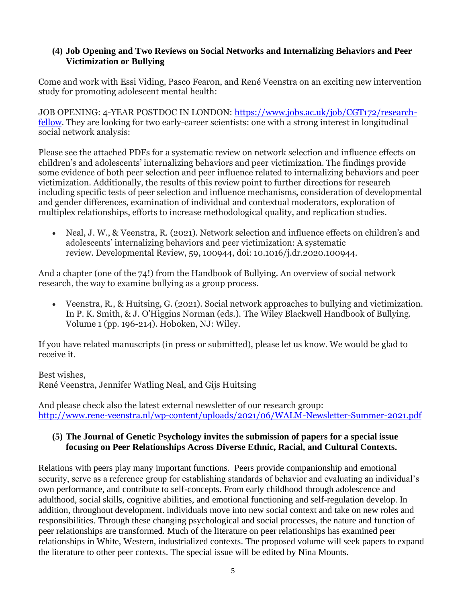### **(4) Job Opening and Two Reviews on Social Networks and Internalizing Behaviors and Peer Victimization or Bullying**

Come and work with Essi Viding, Pasco Fearon, and René Veenstra on an exciting new intervention study for promoting adolescent mental health:

JOB OPENING: 4-YEAR POSTDOC IN LONDON: [https://www.jobs.ac.uk/job/CGT172/research](https://www.jobs.ac.uk/job/CGT172/research-fellow)[fellow.](https://www.jobs.ac.uk/job/CGT172/research-fellow) They are looking for two early-career scientists: one with a strong interest in longitudinal social network analysis:

Please see the attached PDFs for a systematic review on network selection and influence effects on children's and adolescents' internalizing behaviors and peer victimization. The findings provide some evidence of both peer selection and peer influence related to internalizing behaviors and peer victimization. Additionally, the results of this review point to further directions for research including specific tests of peer selection and influence mechanisms, consideration of developmental and gender differences, examination of individual and contextual moderators, exploration of multiplex relationships, efforts to increase methodological quality, and replication studies.

• Neal, J. W., & Veenstra, R. (2021). Network selection and influence effects on children's and adolescents' internalizing behaviors and peer victimization: A systematic review. [Developmental Review, 59,](https://urldefense.proofpoint.com/v2/url?u=https-3A__www.sciencedirect.com_science_article_pii_S0273229720300502&d=DwMDaQ&c=Cu5g146wZdoqVuKpTNsYHeFX_rg6kWhlkLF8Eft-wwo&r=pWic30ayAUnLgVZ5-oscRywEhLuq0OrRNorCTMj4dgo&m=bd5T9ClKqw7RwFDsYU6PRpvUZojN9P7HWg3ytAHegfI&s=k0Me9zAIEVNkNI2Ap_adE_dkLmmwIoDEWcaIgFm_wqs&e=) 100944, doi: 10.1016/j.dr.2020.100944.

And a chapter (one of the 74!) from the Handbook of Bullying. An overview of social network research, the way to examine bullying as a group process.

• Veenstra, R., & Huitsing, G. (2021). Social network approaches to bullying and victimization. In P. K. Smith, & J. O'Higgins Norman (eds.). [The Wiley Blackwell Handbook of Bullying.](https://urldefense.proofpoint.com/v2/url?u=https-3A__osf.io_preprints_socarxiv_fbxwt_&d=DwMDaQ&c=Cu5g146wZdoqVuKpTNsYHeFX_rg6kWhlkLF8Eft-wwo&r=pWic30ayAUnLgVZ5-oscRywEhLuq0OrRNorCTMj4dgo&m=bd5T9ClKqw7RwFDsYU6PRpvUZojN9P7HWg3ytAHegfI&s=ijjYUxwz6vbssKkXkEiEsQEXn5ONkg9HhyPCJkiCM3Y&e=)  [Volume 1 \(pp. 196-214\).](https://urldefense.proofpoint.com/v2/url?u=https-3A__osf.io_preprints_socarxiv_fbxwt_&d=DwMDaQ&c=Cu5g146wZdoqVuKpTNsYHeFX_rg6kWhlkLF8Eft-wwo&r=pWic30ayAUnLgVZ5-oscRywEhLuq0OrRNorCTMj4dgo&m=bd5T9ClKqw7RwFDsYU6PRpvUZojN9P7HWg3ytAHegfI&s=ijjYUxwz6vbssKkXkEiEsQEXn5ONkg9HhyPCJkiCM3Y&e=) Hoboken, NJ: Wiley.

If you have related manuscripts (in press or submitted), please let us know. We would be glad to receive it.

Best wishes, René Veenstra, Jennifer Watling Neal, and Gijs Huitsing

And please check also the latest external newsletter of our research group: <http://www.rene-veenstra.nl/wp-content/uploads/2021/06/WALM-Newsletter-Summer-2021.pdf>

### **(5) The Journal of Genetic Psychology invites the submission of papers for a special issue focusing on Peer Relationships Across Diverse Ethnic, Racial, and Cultural Contexts.**

Relations with peers play many important functions. Peers provide companionship and emotional security, serve as a reference group for establishing standards of behavior and evaluating an individual's own performance, and contribute to self-concepts. From early childhood through adolescence and adulthood, social skills, cognitive abilities, and emotional functioning and self-regulation develop. In addition, throughout development. individuals move into new social context and take on new roles and responsibilities. Through these changing psychological and social processes, the nature and function of peer relationships are transformed. Much of the literature on peer relationships has examined peer relationships in White, Western, industrialized contexts. The proposed volume will seek papers to expand the literature to other peer contexts. The special issue will be edited by Nina Mounts.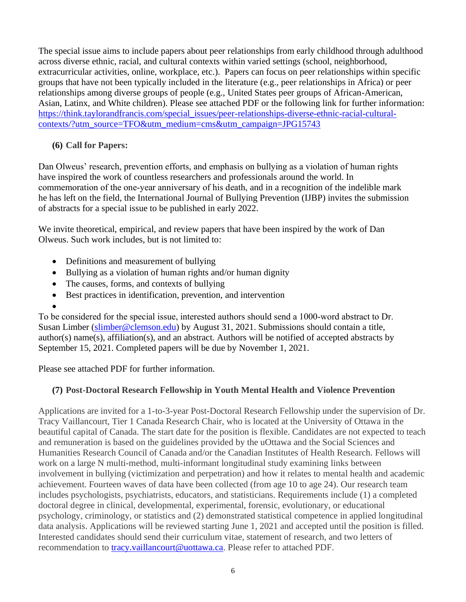The special issue aims to include papers about peer relationships from early childhood through adulthood across diverse ethnic, racial, and cultural contexts within varied settings (school, neighborhood, extracurricular activities, online, workplace, etc.). Papers can focus on peer relationships within specific groups that have not been typically included in the literature (e.g., peer relationships in Africa) or peer relationships among diverse groups of people (e.g., United States peer groups of African-American, Asian, Latinx, and White children). Please see attached PDF or the following link for further information: [https://think.taylorandfrancis.com/special\\_issues/peer-relationships-diverse-ethnic-racial-cultural](https://think.taylorandfrancis.com/special_issues/peer-relationships-diverse-ethnic-racial-cultural-contexts/?utm_source=TFO&utm_medium=cms&utm_campaign=JPG15743)[contexts/?utm\\_source=TFO&utm\\_medium=cms&utm\\_campaign=JPG15743](https://think.taylorandfrancis.com/special_issues/peer-relationships-diverse-ethnic-racial-cultural-contexts/?utm_source=TFO&utm_medium=cms&utm_campaign=JPG15743)

## **(6) Call for Papers:**

Dan Olweus' research, prevention efforts, and emphasis on bullying as a violation of human rights have inspired the work of countless researchers and professionals around the world. In commemoration of the one‐year anniversary of his death, and in a recognition of the indelible mark he has left on the field, the International Journal of Bullying Prevention (IJBP) invites the submission of abstracts for a special issue to be published in early 2022.

We invite theoretical, empirical, and review papers that have been inspired by the work of Dan Olweus. Such work includes, but is not limited to:

- Definitions and measurement of bullying
- Bullying as a violation of human rights and/or human dignity
- The causes, forms, and contexts of bullying
- Best practices in identification, prevention, and intervention
- •

To be considered for the special issue, interested authors should send a 1000‐word abstract to Dr. Susan Limber [\(slimber@clemson.edu\)](mailto:slimber@clemson.edu) by August 31, 2021. Submissions should contain a title, author(s) name(s), affiliation(s), and an abstract. Authors will be notified of accepted abstracts by September 15, 2021. Completed papers will be due by November 1, 2021.

Please see attached PDF for further information.

# **(7) Post-Doctoral Research Fellowship in Youth Mental Health and Violence Prevention**

Applications are invited for a 1-to-3-year Post-Doctoral Research Fellowship under the supervision of Dr. Tracy Vaillancourt, Tier 1 Canada Research Chair, who is located at the University of Ottawa in the beautiful capital of Canada. The start date for the position is flexible. Candidates are not expected to teach and remuneration is based on the guidelines provided by the uOttawa and the Social Sciences and Humanities Research Council of Canada and/or the Canadian Institutes of Health Research. Fellows will work on a large N multi-method, multi-informant longitudinal study examining links between involvement in bullying (victimization and perpetration) and how it relates to mental health and academic achievement. Fourteen waves of data have been collected (from age 10 to age 24). Our research team includes psychologists, psychiatrists, educators, and statisticians. Requirements include (1) a completed doctoral degree in clinical, developmental, experimental, forensic, evolutionary, or educational psychology, criminology, or statistics and (2) demonstrated statistical competence in applied longitudinal data analysis. Applications will be reviewed starting June 1, 2021 and accepted until the position is filled. Interested candidates should send their curriculum vitae, statement of research, and two letters of recommendation to [tracy.vaillancourt@uottawa.ca.](mailto:tracy.vaillancourt@uottawa.ca) Please refer to attached PDF.